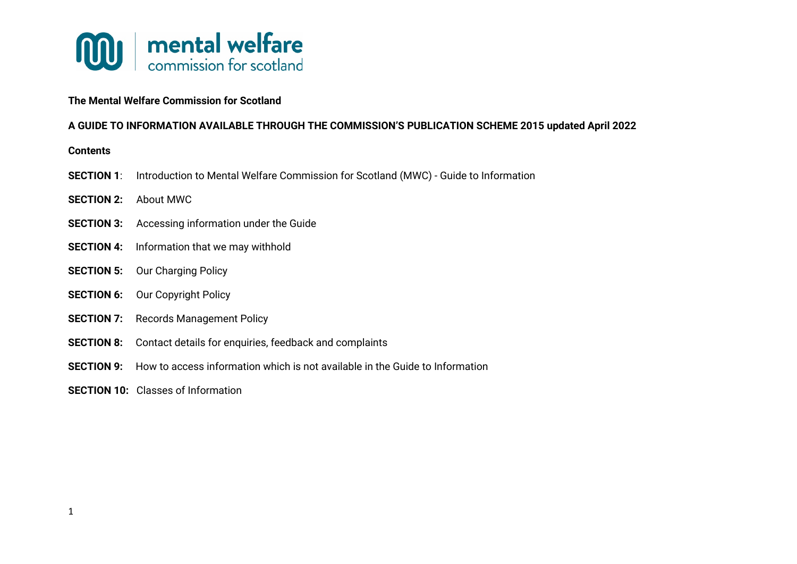

## **The Mental Welfare Commission for Scotland**

### **A GUIDE TO INFORMATION AVAILABLE THROUGH THE COMMISSION'S PUBLICATION SCHEME 2015 updated April 2022**

#### **Contents**

- **SECTION 1**: Introduction to Mental Welfare Commission for Scotland (MWC) Guide to Information
- **SECTION 2:** About MWC
- **SECTION 3:** Accessing information under the Guide
- **SECTION 4:** Information that we may withhold
- **SECTION 5:** Our Charging Policy
- **SECTION 6:** Our Copyright Policy
- **SECTION 7:** Records Management Policy
- **SECTION 8:** Contact details for enquiries, feedback and complaints
- **SECTION 9:** How to access information which is not available in the Guide to Information
- **SECTION 10:** Classes of Information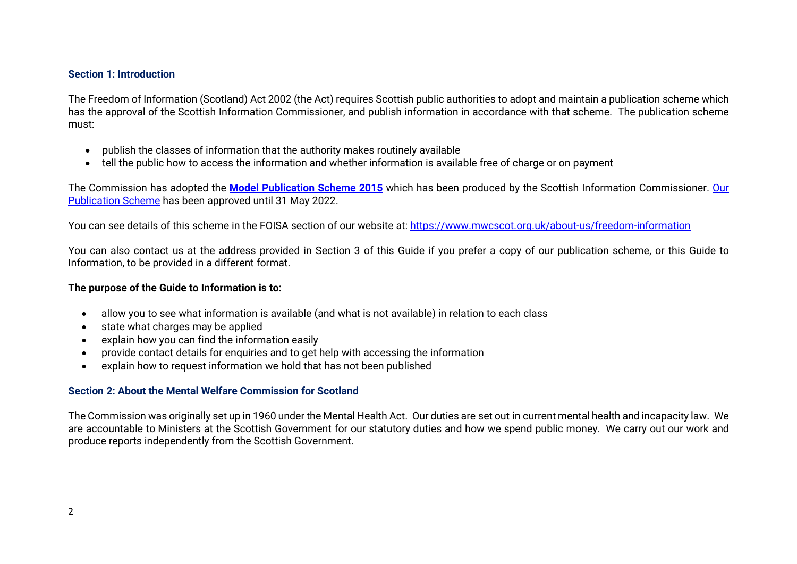### **Section 1: Introduction**

The Freedom of Information (Scotland) Act 2002 (the Act) requires Scottish public authorities to adopt and maintain a publication scheme which has the approval of the Scottish Information Commissioner, and publish information in accordance with that scheme. The publication scheme must:

- publish the classes of information that the authority makes routinely available
- tell the public how to access the information and whether information is available free of charge or on payment

The Commission has adopted the **[Model Publication Scheme 2015](https://ico.org.uk/media/for-organisations/documents/1153/model-publication-scheme.pdf)** which has been produced by the Scottish Information Commissioner. [Our](https://www.mwcscot.org.uk/sites/default/files/2022-04/Publication%20Scheme%20Revised%20April%202022%20%282%29.pdf)  [Publication Scheme](https://www.mwcscot.org.uk/sites/default/files/2022-04/Publication%20Scheme%20Revised%20April%202022%20%282%29.pdf) has been approved until 31 May 2022.

You can see details of this scheme in the FOISA section of our website at:<https://www.mwcscot.org.uk/about-us/freedom-information>

You can also contact us at the address provided in Section 3 of this Guide if you prefer a copy of our publication scheme, or this Guide to Information, to be provided in a different format.

### **The purpose of the Guide to Information is to:**

- allow you to see what information is available (and what is not available) in relation to each class
- state what charges may be applied
- explain how you can find the information easily
- provide contact details for enquiries and to get help with accessing the information
- explain how to request information we hold that has not been published

## **Section 2: About the Mental Welfare Commission for Scotland**

The Commission was originally set up in 1960 under the Mental Health Act. Our duties are set out in current mental health and incapacity law. We are accountable to Ministers at the Scottish Government for our statutory duties and how we spend public money. We carry out our work and produce reports independently from the Scottish Government.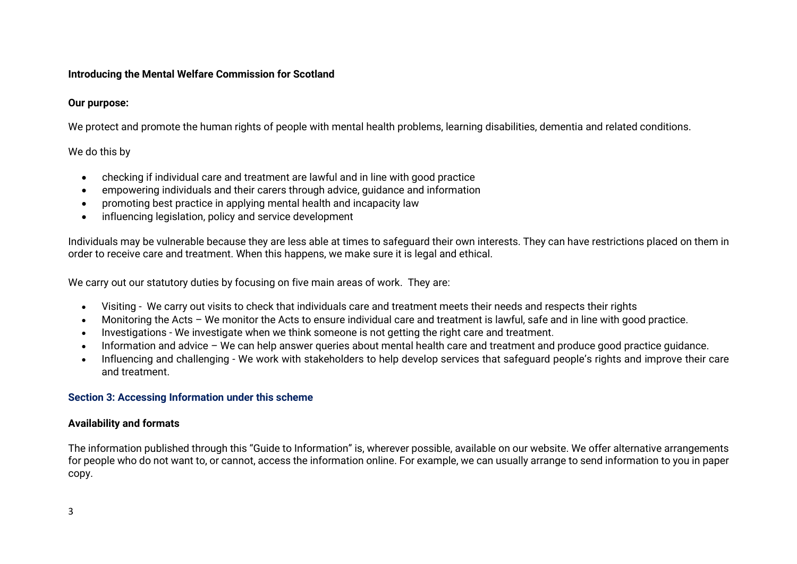## **Introducing the Mental Welfare Commission for Scotland**

## **Our purpose:**

We protect and promote the human rights of people with mental health problems, learning disabilities, dementia and related conditions.

# We do this by

- checking if individual care and treatment are lawful and in line with good practice
- empowering individuals and their carers through advice, guidance and information
- promoting best practice in applying mental health and incapacity law
- influencing legislation, policy and service development

Individuals may be vulnerable because they are less able at times to safeguard their own interests. They can have restrictions placed on them in order to receive care and treatment. When this happens, we make sure it is legal and ethical.

We carry out our statutory duties by focusing on five main areas of work. They are:

- Visiting We carry out visits to check that individuals care and treatment meets their needs and respects their rights
- Monitoring the Acts We monitor the Acts to ensure individual care and treatment is lawful, safe and in line with good practice.
- Investigations We investigate when we think someone is not getting the right care and treatment.
- Information and advice We can help answer queries about mental health care and treatment and produce good practice guidance.
- Influencing and challenging We work with stakeholders to help develop services that safeguard people's rights and improve their care and treatment.

## **Section 3: Accessing Information under this scheme**

# **Availability and formats**

The information published through this "Guide to Information" is, wherever possible, available on our website. We offer alternative arrangements for people who do not want to, or cannot, access the information online. For example, we can usually arrange to send information to you in paper copy.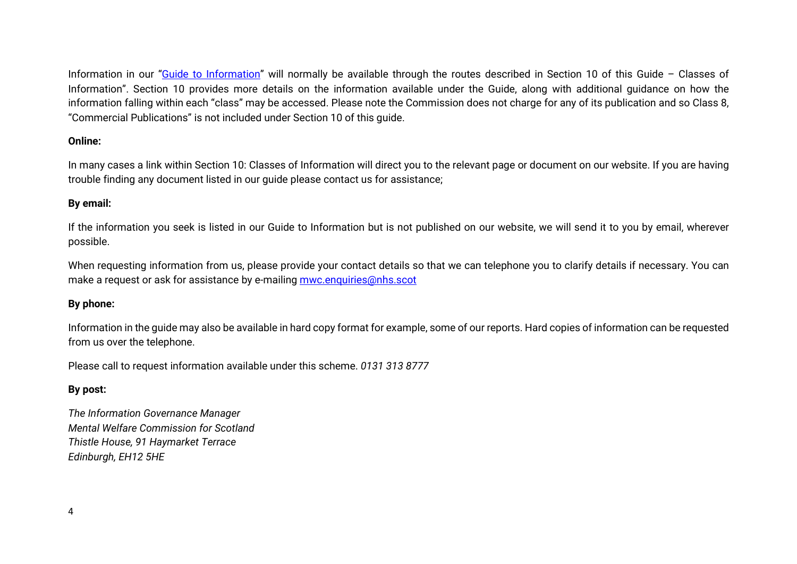Information in our ["Guide to Information"](https://www.mwcscot.org.uk/sites/default/files/2019-10/MWC%20Information%20Guide%202015%20revised%20October%202019.pdf) will normally be available through the routes described in Section 10 of this Guide - Classes of Information". Section 10 provides more details on the information available under the Guide, along with additional guidance on how the information falling within each "class" may be accessed. Please note the Commission does not charge for any of its publication and so Class 8, "Commercial Publications" is not included under Section 10 of this guide.

## **Online:**

In many cases a link within Section 10: Classes of Information will direct you to the relevant page or document on our website. If you are having trouble finding any document listed in our guide please contact us for assistance;

### **By email:**

If the information you seek is listed in our Guide to Information but is not published on our website, we will send it to you by email, wherever possible.

When requesting information from us, please provide your contact details so that we can telephone you to clarify details if necessary. You can make a request or ask for assistance by e-mailing mwc.enquiries@nhs.scot

### **By phone:**

Information in the guide may also be available in hard copy format for example, some of our reports. Hard copies of information can be requested from us over the telephone.

Please call to request information available under this scheme. *0131 313 8777*

## **By post:**

*The Information Governance Manager Mental Welfare Commission for Scotland Thistle House, 91 Haymarket Terrace Edinburgh, EH12 5HE*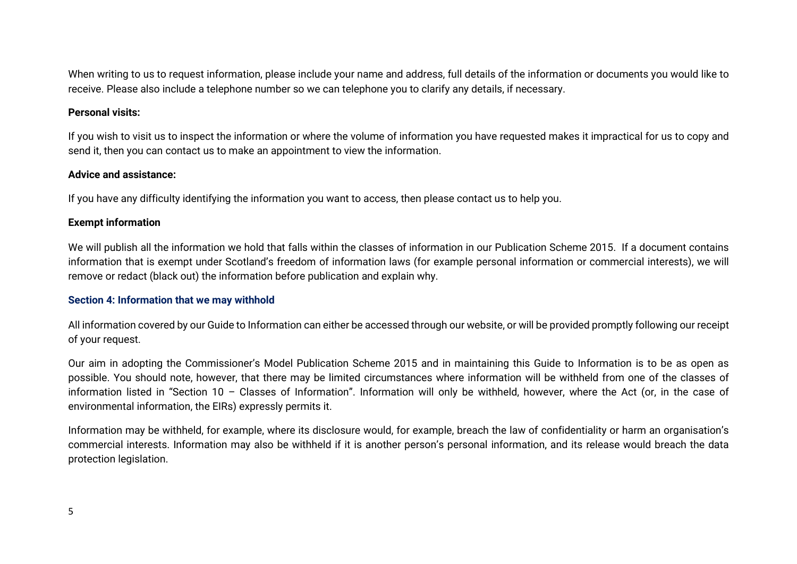When writing to us to request information, please include your name and address, full details of the information or documents you would like to receive. Please also include a telephone number so we can telephone you to clarify any details, if necessary.

#### **Personal visits:**

If you wish to visit us to inspect the information or where the volume of information you have requested makes it impractical for us to copy and send it, then you can contact us to make an appointment to view the information.

#### **Advice and assistance:**

If you have any difficulty identifying the information you want to access, then please contact us to help you.

### **Exempt information**

We will publish all the information we hold that falls within the classes of information in our Publication Scheme 2015. If a document contains information that is exempt under Scotland's freedom of information laws (for example personal information or commercial interests), we will remove or redact (black out) the information before publication and explain why.

### **Section 4: Information that we may withhold**

All information covered by our Guide to Information can either be accessed through our website, or will be provided promptly following our receipt of your request.

Our aim in adopting the Commissioner's Model Publication Scheme 2015 and in maintaining this Guide to Information is to be as open as possible. You should note, however, that there may be limited circumstances where information will be withheld from one of the classes of information listed in "Section 10 – Classes of Information". Information will only be withheld, however, where the Act (or, in the case of environmental information, the EIRs) expressly permits it.

Information may be withheld, for example, where its disclosure would, for example, breach the law of confidentiality or harm an organisation's commercial interests. Information may also be withheld if it is another person's personal information, and its release would breach the data protection legislation.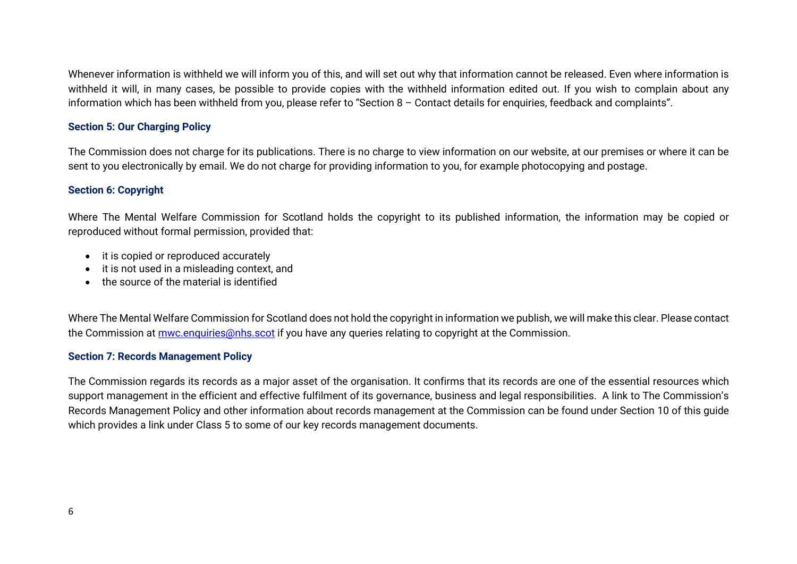Whenever information is withheld we will inform you of this, and will set out why that information cannot be released. Even where information is withheld it will, in many cases, be possible to provide copies with the withheld information edited out. If you wish to complain about any information which has been withheld from you, please refer to "Section 8 – Contact details for enquiries, feedback and complaints".

### **Section 5: Our Charging Policy**

The Commission does not charge for its publications. There is no charge to view information on our website, at our premises or where it can be sent to you electronically by email. We do not charge for providing information to you, for example photocopying and postage.

### **Section 6: Copyright**

Where The Mental Welfare Commission for Scotland holds the copyright to its published information, the information may be copied or reproduced without formal permission, provided that:

- it is copied or reproduced accurately
- it is not used in a misleading context, and
- the source of the material is identified

Where The Mental Welfare Commission for Scotland does not hold the copyright in information we publish, we will make this clear. Please contact the Commission at **mwc.enquiries@nhs.scot** if you have any queries relating to copyright at the Commission.

#### **Section 7: Records Management Policy**

The Commission regards its records as a major asset of the organisation. It confirms that its records are one of the essential resources which support management in the efficient and effective fulfilment of its governance, business and legal responsibilities. A link to The Commission's Records Management Policy and other information about records management at the Commission can be found under Section 10 of this guide which provides a link under Class 5 to some of our key records management documents.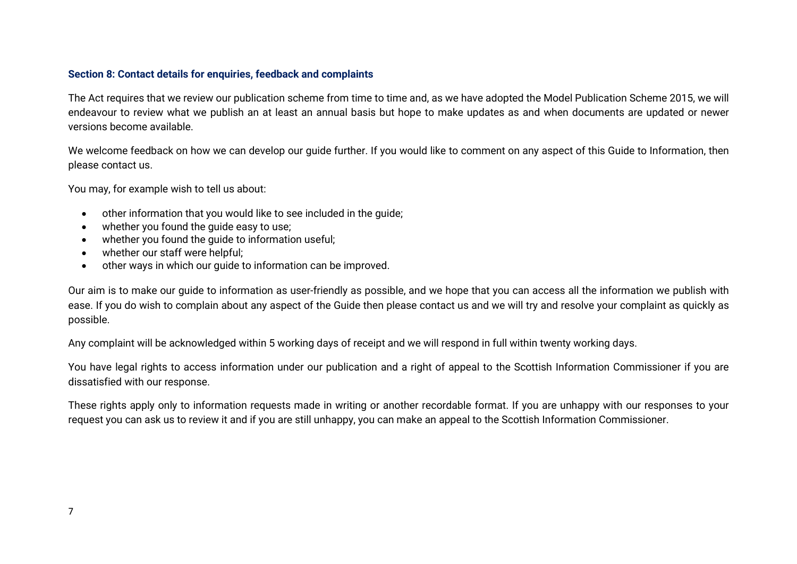### **Section 8: Contact details for enquiries, feedback and complaints**

The Act requires that we review our publication scheme from time to time and, as we have adopted the Model Publication Scheme 2015, we will endeavour to review what we publish an at least an annual basis but hope to make updates as and when documents are updated or newer versions become available.

We welcome feedback on how we can develop our quide further. If you would like to comment on any aspect of this Guide to Information, then please contact us.

You may, for example wish to tell us about:

- other information that you would like to see included in the guide;
- whether you found the guide easy to use;
- whether you found the guide to information useful;
- whether our staff were helpful;
- other ways in which our guide to information can be improved.

Our aim is to make our guide to information as user-friendly as possible, and we hope that you can access all the information we publish with ease. If you do wish to complain about any aspect of the Guide then please contact us and we will try and resolve your complaint as quickly as possible.

Any complaint will be acknowledged within 5 working days of receipt and we will respond in full within twenty working days.

You have legal rights to access information under our publication and a right of appeal to the Scottish Information Commissioner if you are dissatisfied with our response.

These rights apply only to information requests made in writing or another recordable format. If you are unhappy with our responses to your request you can ask us to review it and if you are still unhappy, you can make an appeal to the Scottish Information Commissioner.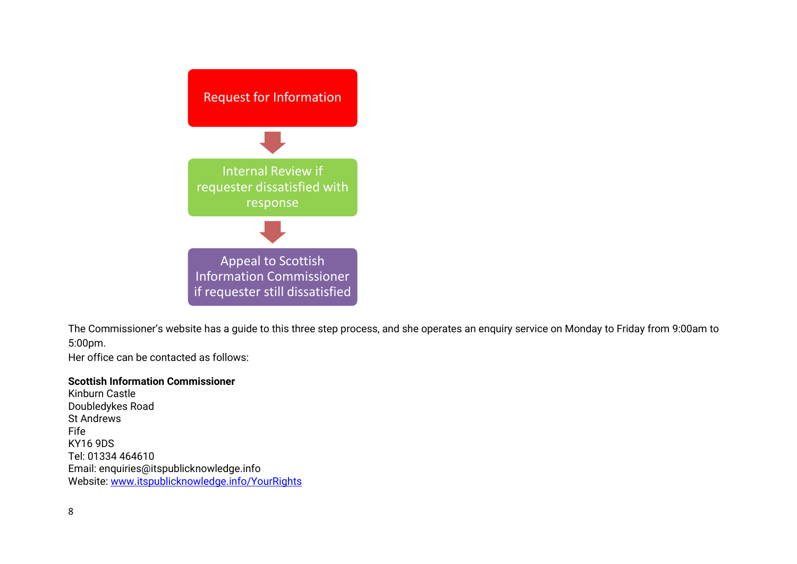

The Commissioner's website has a guide to this three step process, and she operates an enquiry service on Monday to Friday from 9:00am to 5:00pm.

Her office can be contacted as follows:

#### **Scottish Information Commissioner**

Kinburn Castle Doubledykes Road St Andrews Fife KY16 9DS Tel: 01334 464610 Email: enquiries@itspublicknowledge.info Website: [www.itspublicknowledge.info/YourRights](http://www.itspublicknowledge.info/YourRights)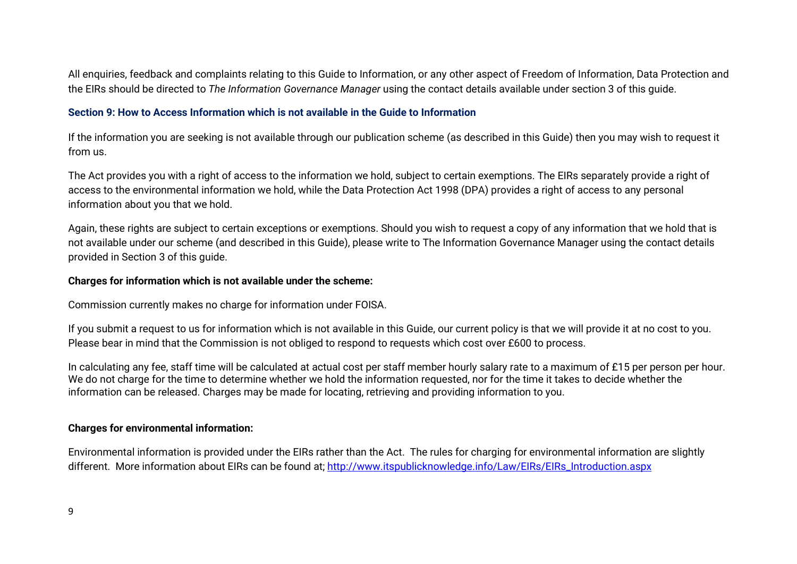All enquiries, feedback and complaints relating to this Guide to Information, or any other aspect of Freedom of Information, Data Protection and the EIRs should be directed to *The Information Governance Manager* using the contact details available under section 3 of this guide.

### **Section 9: How to Access Information which is not available in the Guide to Information**

If the information you are seeking is not available through our publication scheme (as described in this Guide) then you may wish to request it from us.

The Act provides you with a right of access to the information we hold, subject to certain exemptions. The EIRs separately provide a right of access to the environmental information we hold, while the Data Protection Act 1998 (DPA) provides a right of access to any personal information about you that we hold.

Again, these rights are subject to certain exceptions or exemptions. Should you wish to request a copy of any information that we hold that is not available under our scheme (and described in this Guide), please write to The Information Governance Manager using the contact details provided in Section 3 of this guide.

### **Charges for information which is not available under the scheme:**

Commission currently makes no charge for information under FOISA.

If you submit a request to us for information which is not available in this Guide, our current policy is that we will provide it at no cost to you. Please bear in mind that the Commission is not obliged to respond to requests which cost over £600 to process.

In calculating any fee, staff time will be calculated at actual cost per staff member hourly salary rate to a maximum of £15 per person per hour. We do not charge for the time to determine whether we hold the information requested, nor for the time it takes to decide whether the information can be released. Charges may be made for locating, retrieving and providing information to you.

## **Charges for environmental information:**

Environmental information is provided under the EIRs rather than the Act. The rules for charging for environmental information are slightly different. More information about EIRs can be found at; [http://www.itspublicknowledge.info/Law/EIRs/EIRs\\_Introduction.aspx](http://www.itspublicknowledge.info/Law/EIRs/EIRs_Introduction.aspx)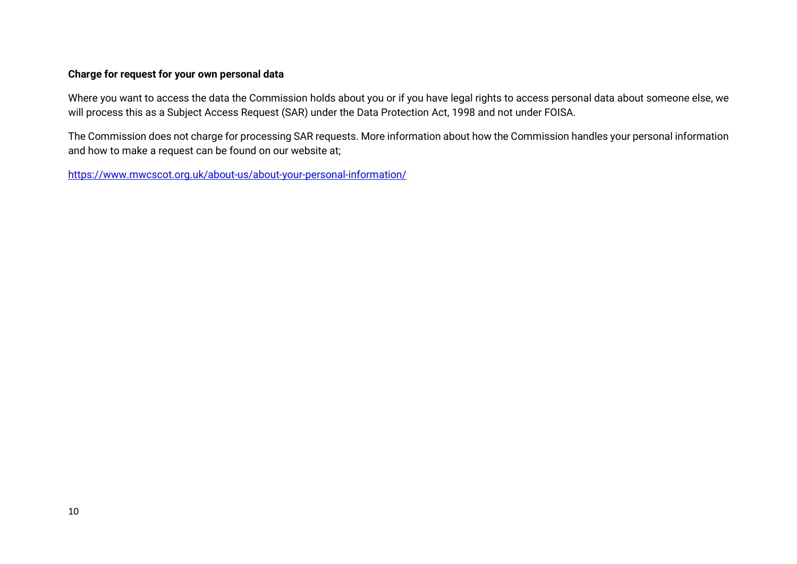## **Charge for request for your own personal data**

Where you want to access the data the Commission holds about you or if you have legal rights to access personal data about someone else, we will process this as a Subject Access Request (SAR) under the Data Protection Act, 1998 and not under FOISA.

The Commission does not charge for processing SAR requests. More information about how the Commission handles your personal information and how to make a request can be found on our website at;

<https://www.mwcscot.org.uk/about-us/about-your-personal-information/>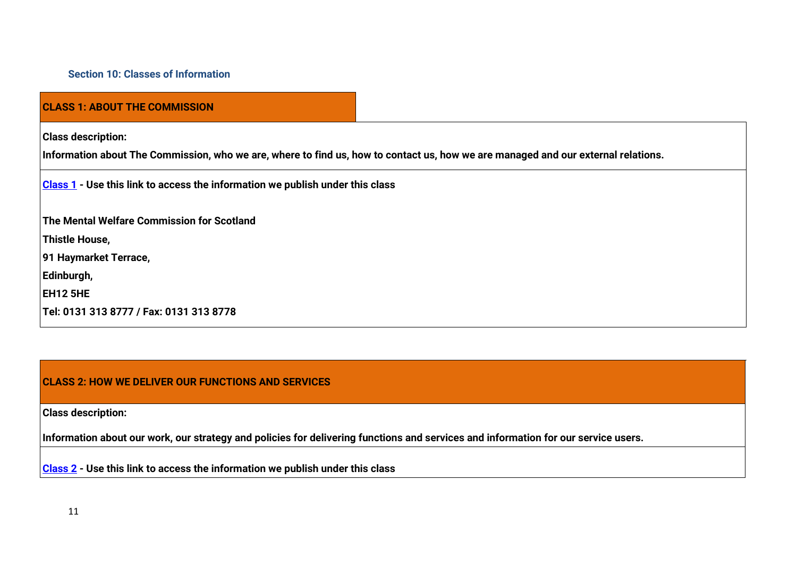### **Section 10: Classes of Information**

## **CLASS 1: ABOUT THE COMMISSION**

**Class description:**

**Information about The Commission, who we are, where to find us, how to contact us, how we are managed and our external relations.**

**[Class 1](https://www.mwcscot.org.uk/about-us/freedom-information#165) - Use this link to access the information we publish under this class**

**The Mental Welfare Commission for Scotland**

**Thistle House,** 

**91 Haymarket Terrace,** 

**Edinburgh,** 

**EH12 5HE**

**Tel: 0131 313 8777 / Fax: 0131 313 8778**

#### **CLASS 2: HOW WE DELIVER OUR FUNCTIONS AND SERVICES**

**Class description:**

**Information about our work, our strategy and policies for delivering functions and services and information for our service users.**

**[Class 2](https://www.mwcscot.org.uk/about-us/freedom-information#174) - Use this link to access the information we publish under this class**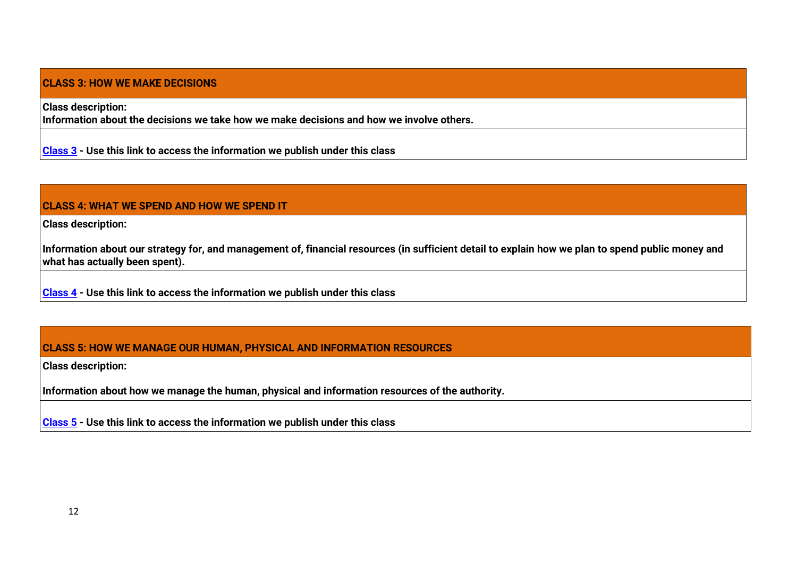## **CLASS 3: HOW WE MAKE DECISIONS**

**Class description:**

**Information about the decisions we take how we make decisions and how we involve others.**

**[Class 3](https://www.mwcscot.org.uk/about-us/freedom-information#176) - Use this link to access the information we publish under this class**

## **CLASS 4: WHAT WE SPEND AND HOW WE SPEND IT**

**Class description:**

**Information about our strategy for, and management of, financial resources (in sufficient detail to explain how we plan to spend public money and what has actually been spent).**

**[Class 4](https://www.mwcscot.org.uk/about-us/freedom-information#179) - Use this link to access the information we publish under this class**

## **CLASS 5: HOW WE MANAGE OUR HUMAN, PHYSICAL AND INFORMATION RESOURCES**

**Class description:**

**Information about how we manage the human, physical and information resources of the authority.**

**[Class 5](https://www.mwcscot.org.uk/about-us/freedom-information#181) - Use this link to access the information we publish under this class**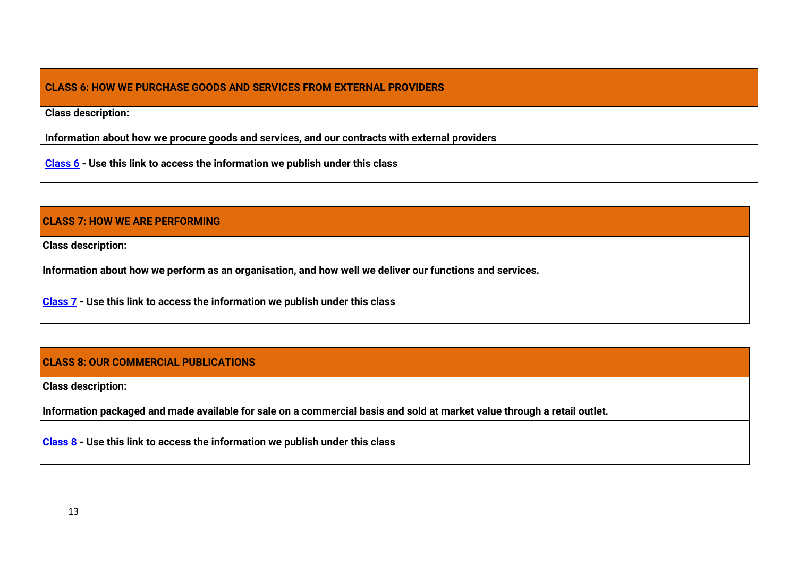## **CLASS 6: HOW WE PURCHASE GOODS AND SERVICES FROM EXTERNAL PROVIDERS**

**Class description:**

**Information about how we procure goods and services, and our contracts with external providers**

**[Class 6](https://www.mwcscot.org.uk/about-us/freedom-information#182) - Use this link to access the information we publish under this class**

## **CLASS 7: HOW WE ARE PERFORMING**

**Class description:**

**Information about how we perform as an organisation, and how well we deliver our functions and services.**

**[Class 7](https://www.mwcscot.org.uk/about-us/freedom-information#184) - Use this link to access the information we publish under this class**

## **CLASS 8: OUR COMMERCIAL PUBLICATIONS**

**Class description:**

**Information packaged and made available for sale on a commercial basis and sold at market value through a retail outlet.**

**[Class 8](https://www.mwcscot.org.uk/about-us/freedom-information#190) - Use this link to access the information we publish under this class**